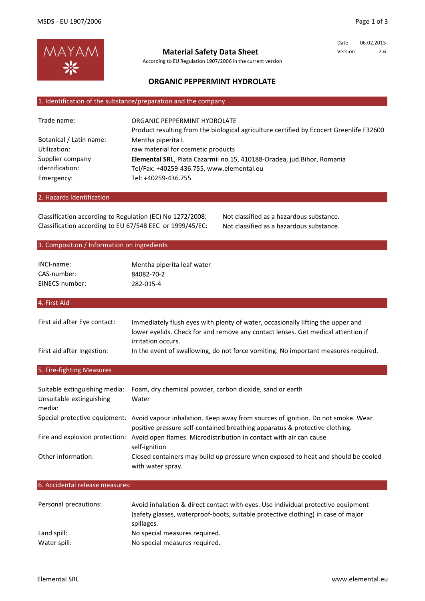

**Material Safety Data Sheet**

According to EU Regulation 1907/2006 in the current version

Date 06.02.2015 Version 2.6

# **ORGANIC PEPPERMINT HYDROLATE**

#### 1. Identification of the substance/preparation and the company

| ORGANIC PEPPERMINT HYDROLATE                                                            |
|-----------------------------------------------------------------------------------------|
| Product resulting from the biological agriculture certified by Ecocert Greenlife F32600 |
| Mentha piperita L                                                                       |
| raw material for cosmetic products                                                      |
| Elemental SRL, Piata Cazarmii no.15, 410188-Oradea, jud.Bihor, Romania                  |
| Tel/Fax: +40259-436.755, www.elemental.eu                                               |
| Tel: +40259-436.755                                                                     |
|                                                                                         |

#### 2. Hazards Identification

Classification according to Regulation (EC) No 1272/2008: Not classified as a hazardous substance. Classification according to EU 67/548 EEC or 1999/45/EC: Not classified as a hazardous substance.

### 3. Composition / Information on ingredients

| INCI-name:     | Mentha piperita leaf water |
|----------------|----------------------------|
| CAS-number:    | 84082-70-2                 |
| EINECS-number: | 282-015-4                  |

#### 4. First Aid

| First aid after Eye contact: | Immediately flush eyes with plenty of water, occasionally lifting the upper and<br>lower eyelids. Check for and remove any contact lenses. Get medical attention if |
|------------------------------|---------------------------------------------------------------------------------------------------------------------------------------------------------------------|
|                              | irritation occurs.                                                                                                                                                  |
| First aid after Ingestion:   | In the event of swallowing, do not force vomiting. No important measures required.                                                                                  |

# 5. Fire-fighting Measures

| Suitable extinguishing media:<br>Unsuitable extinguishing<br>media: | Foam, dry chemical powder, carbon dioxide, sand or earth<br>Water                                                                                                                            |
|---------------------------------------------------------------------|----------------------------------------------------------------------------------------------------------------------------------------------------------------------------------------------|
|                                                                     | Special protective equipment: Avoid vapour inhalation. Keep away from sources of ignition. Do not smoke. Wear<br>positive pressure self-contained breathing apparatus & protective clothing. |
| Fire and explosion protection:                                      | Avoid open flames. Microdistribution in contact with air can cause<br>self-ignition                                                                                                          |
| Other information:                                                  | Closed containers may build up pressure when exposed to heat and should be cooled<br>with water spray.                                                                                       |

#### 6. Accidental release measures:

| Personal precautions: | Avoid inhalation & direct contact with eyes. Use individual protective equipment<br>(safety glasses, waterproof-boots, suitable protective clothing) in case of major<br>spillages. |
|-----------------------|-------------------------------------------------------------------------------------------------------------------------------------------------------------------------------------|
| Land spill:           | No special measures required.                                                                                                                                                       |
| Water spill:          | No special measures required.                                                                                                                                                       |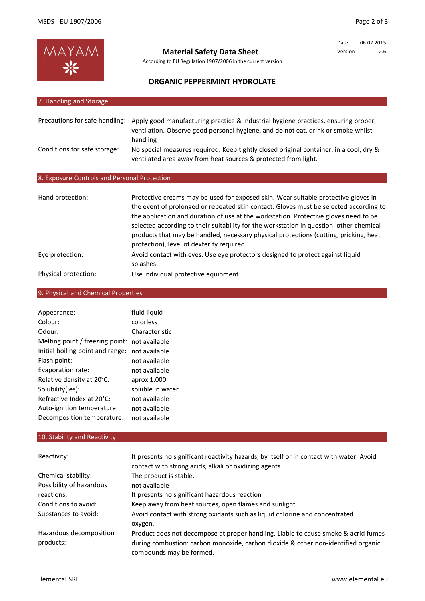

**Material Safety Data Sheet**

According to EU Regulation 1907/2006 in the current version

Date 06.02.2015 Version 2.6

# **ORGANIC PEPPERMINT HYDROLATE**

| 7. Handling and Storage                      |                                                                                                                                                                                                                                                                                                                                                                   |
|----------------------------------------------|-------------------------------------------------------------------------------------------------------------------------------------------------------------------------------------------------------------------------------------------------------------------------------------------------------------------------------------------------------------------|
|                                              |                                                                                                                                                                                                                                                                                                                                                                   |
| Precautions for safe handling:               | Apply good manufacturing practice & industrial hygiene practices, ensuring proper<br>ventilation. Observe good personal hygiene, and do not eat, drink or smoke whilst<br>handling                                                                                                                                                                                |
| Conditions for safe storage:                 | No special measures required. Keep tightly closed original container, in a cool, dry &<br>ventilated area away from heat sources & protected from light.                                                                                                                                                                                                          |
| 8. Exposure Controls and Personal Protection |                                                                                                                                                                                                                                                                                                                                                                   |
| Hand protection:                             | Protective creams may be used for exposed skin. Wear suitable protective gloves in                                                                                                                                                                                                                                                                                |
|                                              | the event of prolonged or repeated skin contact. Gloves must be selected according to<br>the application and duration of use at the workstation. Protective gloves need to be<br>selected according to their suitability for the workstation in question: other chemical<br>products that may be handled, necessary physical protections (cutting, pricking, heat |

Eye protection: Physical protection: protection), level of dexterity required. Use individual protective equipment Avoid contact with eyes. Use eye protectors designed to protect against liquid splashes

# 9. Physical and Chemical Properties

| Appearance:                      | fluid liquid     |
|----------------------------------|------------------|
| Colour:                          | colorless        |
| Odour:                           | Characteristic   |
| Melting point / freezing point:  | not available    |
| Initial boiling point and range: | not available    |
| Flash point:                     | not available    |
| Evaporation rate:                | not available    |
| Relative density at 20°C:        | aprox 1.000      |
| Solubility(ies):                 | soluble in water |
| Refractive Index at 20°C:        | not available    |
| Auto-ignition temperature:       | not available    |
| Decomposition temperature:       | not available    |

#### 10. Stability and Reactivity

| Reactivity:                          | It presents no significant reactivity hazards, by itself or in contact with water. Avoid<br>contact with strong acids, alkali or oxidizing agents.                      |
|--------------------------------------|-------------------------------------------------------------------------------------------------------------------------------------------------------------------------|
| Chemical stability:                  | The product is stable.                                                                                                                                                  |
| Possibility of hazardous             | not available                                                                                                                                                           |
| reactions:                           | It presents no significant hazardous reaction                                                                                                                           |
| Conditions to avoid:                 | Keep away from heat sources, open flames and sunlight.                                                                                                                  |
| Substances to avoid:                 | Avoid contact with strong oxidants such as liquid chlorine and concentrated<br>oxygen.                                                                                  |
| Hazardous decomposition<br>products: | Product does not decompose at proper handling. Liable to cause smoke & acrid fumes<br>during combustion: carbon monoxide, carbon dioxide & other non-identified organic |
|                                      | compounds may be formed.                                                                                                                                                |